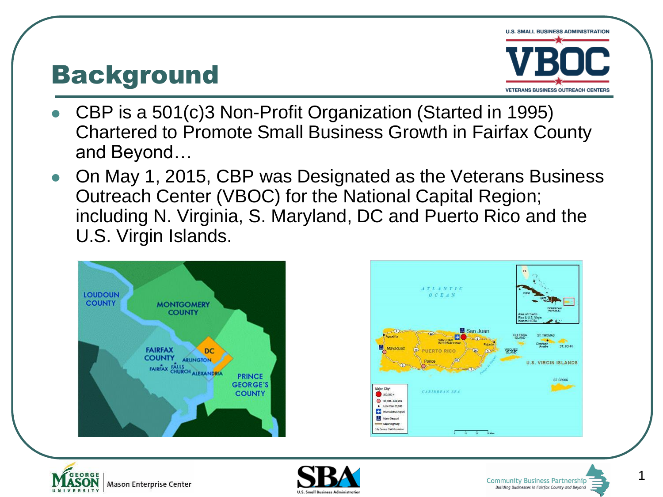#### Background



- CBP is a 501(c)3 Non-Profit Organization (Started in 1995) Chartered to Promote Small Business Growth in Fairfax County and Beyond…
- On May 1, 2015, CBP was Designated as the Veterans Business Outreach Center (VBOC) for the National Capital Region; including N. Virginia, S. Maryland, DC and Puerto Rico and the U.S. Virgin Islands.









1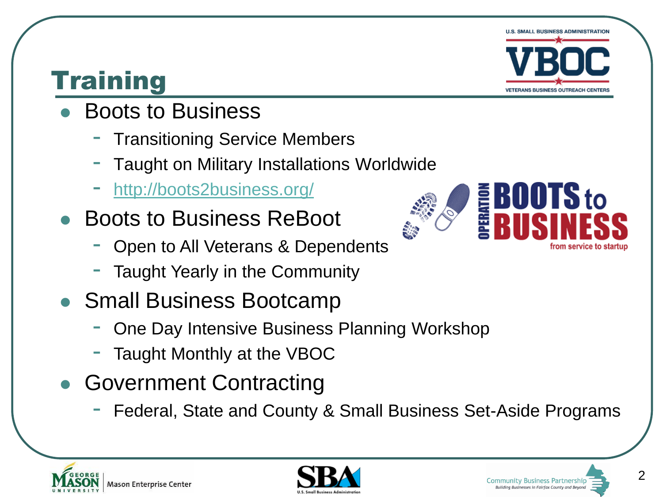# **U.S. SMALL BUSINESS ADMINISTRATION VETERANS BUSINESS OUTREACH CENTE**

**E BOOTS to**<br>E RIISINFS

## **Training**

- Boots to Business
	- **Transitioning Service Members**
	- Taught on Military Installations Worldwide
	- <http://boots2business.org/>
- Boots to Business ReBoot
	- Open to All Veterans & Dependents
	- Taught Yearly in the Community
- Small Business Bootcamp
	- One Day Intensive Business Planning Workshop
	- Taught Monthly at the VBOC
- Government Contracting
	- Federal, State and County & Small Business Set-Aside Programs







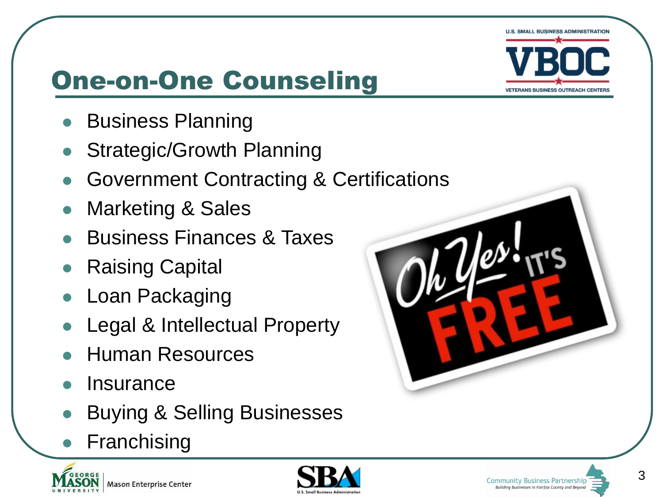

## One-on-One Counseling

- Business Planning
- Strategic/Growth Planning
- Government Contracting & Certifications
- Marketing & Sales
- Business Finances & Taxes
- Raising Capital
- Loan Packaging
- Legal & Intellectual Property
- Human Resources
- **Insurance**
- Buying & Selling Businesses
- Franchising



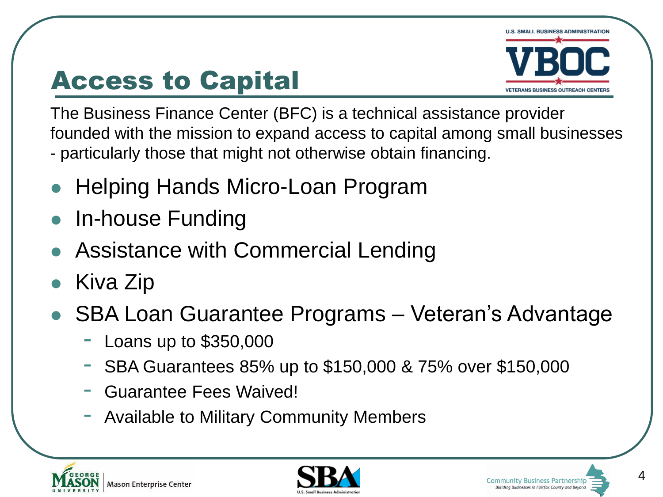### Access to Capital



The Business Finance Center (BFC) is a technical assistance provider founded with the mission to expand access to capital among small businesses - particularly those that might not otherwise obtain financing.

- Helping Hands Micro-Loan Program
- In-house Funding
- Assistance with Commercial Lending
- Kiva Zip
- SBA Loan Guarantee Programs Veteran's Advantage
	- Loans up to \$350,000
	- SBA Guarantees 85% up to \$150,000 & 75% over \$150,000
	- Guarantee Fees Waived!
	- Available to Military Community Members





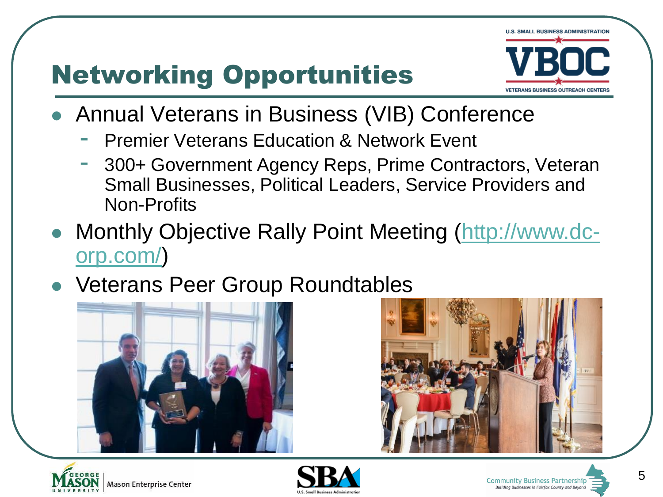# Networking Opportunities



- Annual Veterans in Business (VIB) Conference
	- **Premier Veterans Education & Network Event**
	- 300+ Government Agency Reps, Prime Contractors, Veteran Small Businesses, Political Leaders, Service Providers and Non-Profits
- Monthly Objective Rally Point Meeting [\(http://www.dc](http://www.dc-orp.com/)[orp.com/\)](http://www.dc-orp.com/)
- Veterans Peer Group Roundtables